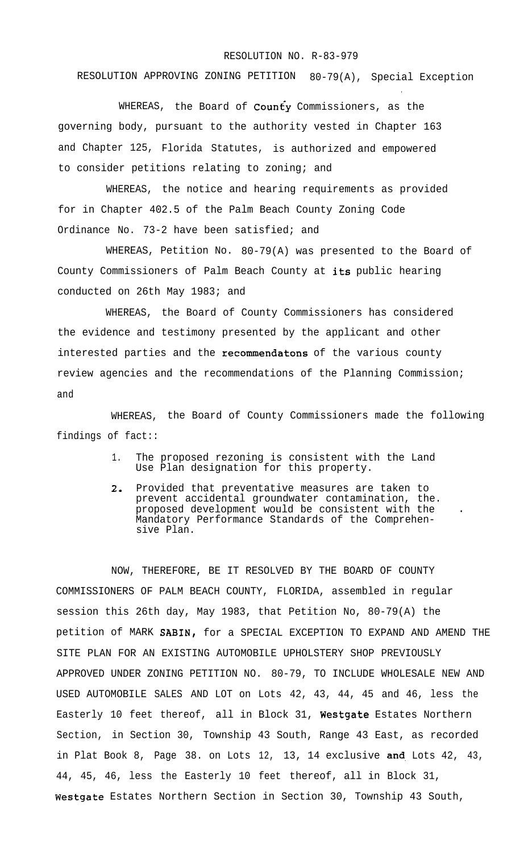## RESOLUTION NO. R-83-979

.

RESOLUTION APPROVING ZONING PETITION 80-79(A), Special Exception

WHEREAS, the Board of  $\text{Count}_Y$  Commissioners, as the governing body, pursuant to the authority vested in Chapter 163 and Chapter 125, Florida Statutes, is authorized and empowered to consider petitions relating to zoning; and

WHEREAS, the notice and hearing requirements as provided for in Chapter 402.5 of the Palm Beach County Zoning Code Ordinance No. 73-2 have been satisfied; and

WHEREAS, Petition No. 80-79(A) was presented to the Board of County Commissioners of Palm Beach County at its public hearing conducted on 26th May 1983; and

WHEREAS, the Board of County Commissioners has considered the evidence and testimony presented by the applicant and other interested parties and the recommendatons of the various county review agencies and the recommendations of the Planning Commission; and

WHEREAS, the Board of County Commissioners made the following findings of fact::

- 1. The proposed rezoning is consistent with the Land Use Plan designation for this property.
- 2. Provided that preventative measures are taken to prevent accidental groundwater contamination, the. proposed development would be consistent with the Mandatory Performance Standards of the Comprehensive Plan.

NOW, THEREFORE, BE IT RESOLVED BY THE BOARD OF COUNTY COMMISSIONERS OF PALM BEACH COUNTY, FLORIDA, assembled in regular session this 26th day, May 1983, that Petition No, 80-79(A) the petition of MARK SABIN, for a SPECIAL EXCEPTION TO EXPAND AND AMEND THE SITE PLAN FOR AN EXISTING AUTOMOBILE UPHOLSTERY SHOP PREVIOUSLY APPROVED UNDER ZONING PETITION NO. 80-79, TO INCLUDE WHOLESALE NEW AND USED AUTOMOBILE SALES AND LOT on Lots 42, 43, 44, 45 and 46, less the Easterly 10 feet thereof, all in Block 31, Westgate Estates Northern Section, in Section 30, Township 43 South, Range 43 East, as recorded in Plat Book 8, Page 38. on Lots  $12, 13, 14$  exclusive and Lots  $42, 43,$ 44, 45, 46, less the Easterly 10 feet thereof, all in Block 31, Westgate Estates Northern Section in Section 30, Township 43 South,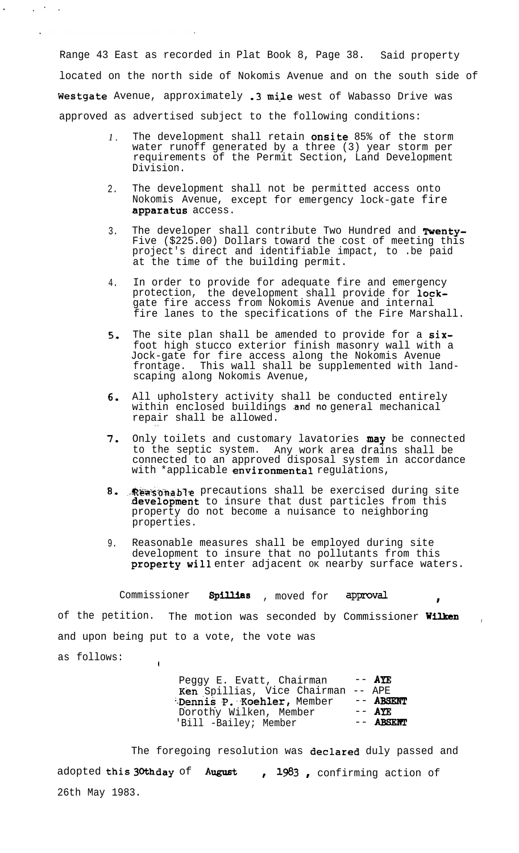Range 43 East as recorded in Plat Book 8, Page 38. Said property located on the north side of Nokomis Avenue and on the south side of Westgate Avenue, approximately .3 mile west of Wabasso Drive was approved as advertised subject to the following conditions:

 $\mathcal{L}^{\text{max}}_{\text{max}}$ 

- *1 .* The development shall retain **onsite** 85% of the storm water runoff generated by a three (3) year storm per requirements of the Permit Section, Land Development Division.
- $2<sup>2</sup>$ The development shall not be permitted access onto Nokomis Avenue, except for emergency lock-gate fire .apparatus access.
- 3. The developer shall contribute Two Hundred and Twenty-Five (\$225.00) Dollars toward the cost of meeting this project's direct and identifiable impact, to .be paid at the time of the building permit.
- 4. In order to provide for adequate fire and emergency protection, the development shall provide for lockgate fire access from Nokomis Avenue and internal fire lanes to the specifications of the Fire Marshall.
- 5, The site plan shall be amended to provide for a sixfoot high stucco exterior finish masonry wall with a Jock-gate for fire access along the Nokomis Avenue frontage. This wall shall be supplemented with landscaping along Nokomis Avenue,
- 6. All upholstery activity shall be conducted entirely within enclosed buildings and no general mechanical repair shall be allowed.

. .

I

- 7. Only toilets and customary lavatories may be connected to the septic system. Any work area drains shall be connected to an approved disposal system in accordance with \*applicable environmental regulations,
- B. Reasonable precautions shall be exercised during site development to insure that dust particles from this property do not become a nuisance to neighboring properties.
- 9. Reasonable measures shall be employed during site development to insure that no pollutants from this property will enter adjacent ok nearby surface waters.

Commissioner Spillias , moved for approval

of the petition. The motion was seconded by Commissioner Wilken and upon being put to a vote, the vote was as follows:  $\mathbf{I}$ 

> Peggy E. Evatt, Chairman  $--$  AYE Ken Spillias, Vice Chairman -- APE<br>Dennis P. Koehler, Member -- ABSENT Dennis P. Koehler, Member -- ABSI<br>Dorothy Wilken, Member -- AYE Dorothy Wilken, Member -- AYE<br>'Bill -Bailey; Member -- ABSENT 'Bill -Bailey; Member

The foregoing resolution was declared duly passed and adopted this 30thday of August , 1983, confirming action of 26th May 1983.